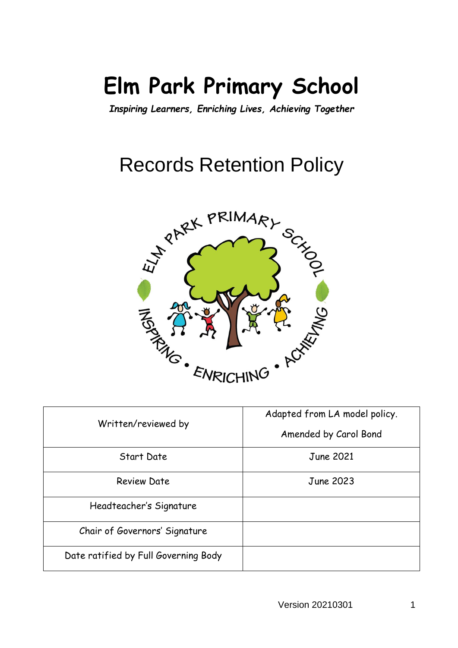# **Elm Park Primary School**

*Inspiring Learners, Enriching Lives, Achieving Together*

## Records Retention Policy



| Written/reviewed by                  | Adapted from LA model policy.<br>Amended by Carol Bond |
|--------------------------------------|--------------------------------------------------------|
| Start Date                           | June 2021                                              |
| <b>Review Date</b>                   | <b>June 2023</b>                                       |
| Headteacher's Signature              |                                                        |
| Chair of Governors' Signature        |                                                        |
| Date ratified by Full Governing Body |                                                        |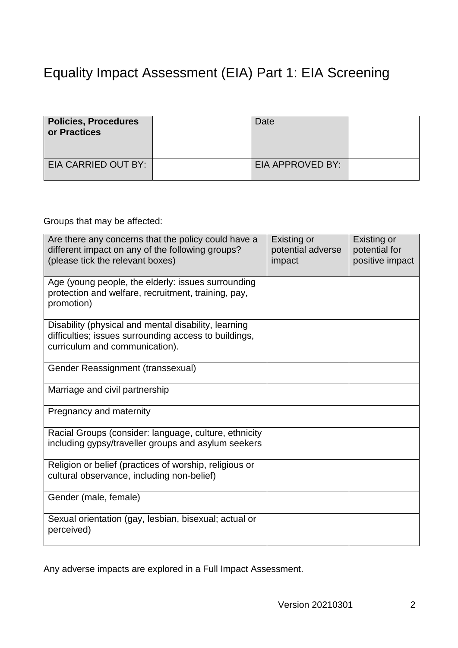## Equality Impact Assessment (EIA) Part 1: EIA Screening

| <b>Policies, Procedures</b><br>or Practices | Date             |  |
|---------------------------------------------|------------------|--|
| EIA CARRIED OUT BY:                         | EIA APPROVED BY: |  |

Groups that may be affected:

| Are there any concerns that the policy could have a<br>different impact on any of the following groups?<br>(please tick the relevant boxes)     | <b>Existing or</b><br>potential adverse<br>impact | Existing or<br>potential for<br>positive impact |
|-------------------------------------------------------------------------------------------------------------------------------------------------|---------------------------------------------------|-------------------------------------------------|
| Age (young people, the elderly: issues surrounding<br>protection and welfare, recruitment, training, pay,<br>promotion)                         |                                                   |                                                 |
| Disability (physical and mental disability, learning<br>difficulties; issues surrounding access to buildings,<br>curriculum and communication). |                                                   |                                                 |
| Gender Reassignment (transsexual)                                                                                                               |                                                   |                                                 |
| Marriage and civil partnership                                                                                                                  |                                                   |                                                 |
| Pregnancy and maternity                                                                                                                         |                                                   |                                                 |
| Racial Groups (consider: language, culture, ethnicity<br>including gypsy/traveller groups and asylum seekers                                    |                                                   |                                                 |
| Religion or belief (practices of worship, religious or<br>cultural observance, including non-belief)                                            |                                                   |                                                 |
| Gender (male, female)                                                                                                                           |                                                   |                                                 |
| Sexual orientation (gay, lesbian, bisexual; actual or<br>perceived)                                                                             |                                                   |                                                 |

Any adverse impacts are explored in a Full Impact Assessment.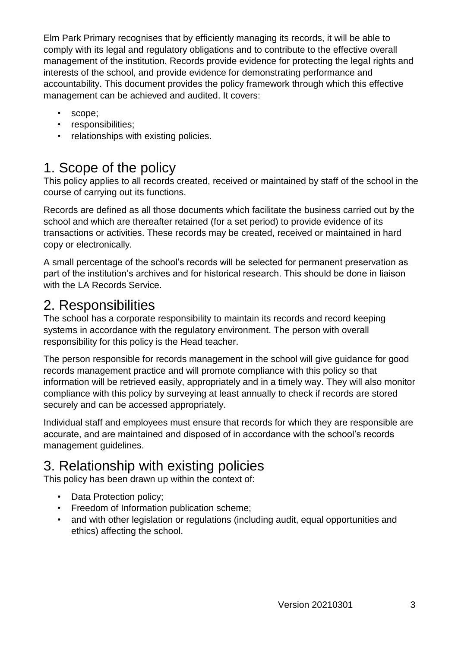Elm Park Primary recognises that by efficiently managing its records, it will be able to comply with its legal and regulatory obligations and to contribute to the effective overall management of the institution. Records provide evidence for protecting the legal rights and interests of the school, and provide evidence for demonstrating performance and accountability. This document provides the policy framework through which this effective management can be achieved and audited. It covers:

- scope;
- responsibilities;
- relationships with existing policies.

## 1. Scope of the policy

This policy applies to all records created, received or maintained by staff of the school in the course of carrying out its functions.

Records are defined as all those documents which facilitate the business carried out by the school and which are thereafter retained (for a set period) to provide evidence of its transactions or activities. These records may be created, received or maintained in hard copy or electronically.

A small percentage of the school's records will be selected for permanent preservation as part of the institution's archives and for historical research. This should be done in liaison with the LA Records Service.

## 2. Responsibilities

The school has a corporate responsibility to maintain its records and record keeping systems in accordance with the regulatory environment. The person with overall responsibility for this policy is the Head teacher.

The person responsible for records management in the school will give guidance for good records management practice and will promote compliance with this policy so that information will be retrieved easily, appropriately and in a timely way. They will also monitor compliance with this policy by surveying at least annually to check if records are stored securely and can be accessed appropriately.

Individual staff and employees must ensure that records for which they are responsible are accurate, and are maintained and disposed of in accordance with the school's records management guidelines.

## 3. Relationship with existing policies

This policy has been drawn up within the context of:

- Data Protection policy:
- Freedom of Information publication scheme;
- and with other legislation or regulations (including audit, equal opportunities and ethics) affecting the school.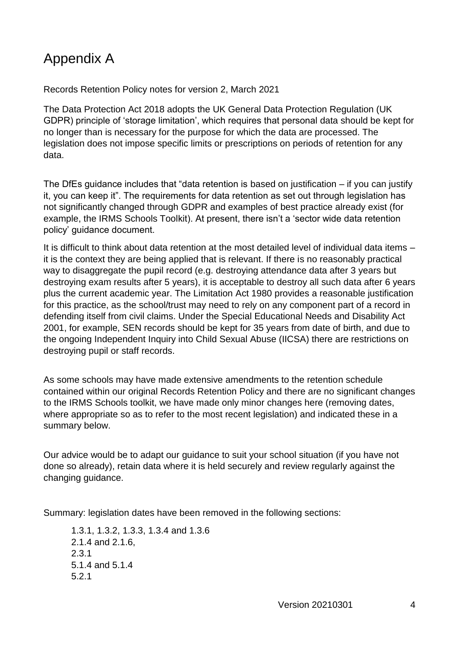## Appendix A

#### Records Retention Policy notes for version 2, March 2021

The Data Protection Act 2018 adopts the UK General Data Protection Regulation (UK GDPR) principle of 'storage limitation', which requires that personal data should be kept for no longer than is necessary for the purpose for which the data are processed. The legislation does not impose specific limits or prescriptions on periods of retention for any data.

The DfEs guidance includes that "data retention is based on justification – if you can justify it, you can keep it". The requirements for data retention as set out through legislation has not significantly changed through GDPR and examples of best practice already exist (for example, the IRMS Schools Toolkit). At present, there isn't a 'sector wide data retention policy' guidance document.

It is difficult to think about data retention at the most detailed level of individual data items – it is the context they are being applied that is relevant. If there is no reasonably practical way to disaggregate the pupil record (e.g. destroying attendance data after 3 years but destroying exam results after 5 years), it is acceptable to destroy all such data after 6 years plus the current academic year. The Limitation Act 1980 provides a reasonable justification for this practice, as the school/trust may need to rely on any component part of a record in defending itself from civil claims. Under the Special Educational Needs and Disability Act 2001, for example, SEN records should be kept for 35 years from date of birth, and due to the ongoing Independent Inquiry into Child Sexual Abuse (IICSA) there are restrictions on destroying pupil or staff records.

As some schools may have made extensive amendments to the retention schedule contained within our original Records Retention Policy and there are no significant changes to the IRMS Schools toolkit, we have made only minor changes here (removing dates, where appropriate so as to refer to the most recent legislation) and indicated these in a summary below.

Our advice would be to adapt our guidance to suit your school situation (if you have not done so already), retain data where it is held securely and review regularly against the changing guidance.

Summary: legislation dates have been removed in the following sections:

1.3.1, 1.3.2, 1.3.3, 1.3.4 and 1.3.6 2.1.4 and 2.1.6, 2.3.1 5.1.4 and 5.1.4 5.2.1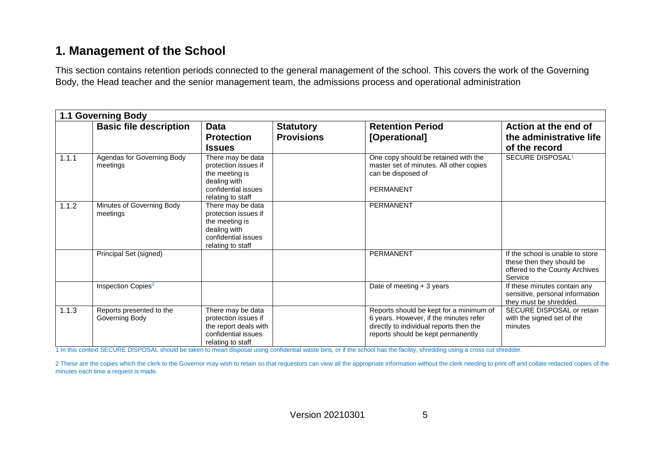#### **1. Management of the School**

This section contains retention periods connected to the general management of the school. This covers the work of the Governing Body, the Head teacher and the senior management team, the admissions process and operational administration

|       | <b>1.1 Governing Body</b>                  |                                                                                                                         |                                       |                                                                                                                                                                    |                                                                                                            |  |  |
|-------|--------------------------------------------|-------------------------------------------------------------------------------------------------------------------------|---------------------------------------|--------------------------------------------------------------------------------------------------------------------------------------------------------------------|------------------------------------------------------------------------------------------------------------|--|--|
|       | <b>Basic file description</b>              | <b>Data</b><br><b>Protection</b><br><b>Issues</b>                                                                       | <b>Statutory</b><br><b>Provisions</b> | <b>Retention Period</b><br>[Operational]                                                                                                                           | Action at the end of<br>the administrative life<br>of the record                                           |  |  |
| 1.1.1 | Agendas for Governing Body<br>meetings     | There may be data<br>protection issues if<br>the meeting is<br>dealing with<br>confidential issues<br>relating to staff |                                       | One copy should be retained with the<br>master set of minutes. All other copies<br>can be disposed of<br><b>PERMANENT</b>                                          | SECURE DISPOSAL <sup>1</sup>                                                                               |  |  |
| 1.1.2 | Minutes of Governing Body<br>meetings      | There may be data<br>protection issues if<br>the meeting is<br>dealing with<br>confidential issues<br>relating to staff |                                       | <b>PERMANENT</b>                                                                                                                                                   |                                                                                                            |  |  |
|       | Principal Set (signed)                     |                                                                                                                         |                                       | PERMANENT                                                                                                                                                          | If the school is unable to store<br>these then they should be<br>offered to the County Archives<br>Service |  |  |
|       | Inspection Copies <sup>2</sup>             |                                                                                                                         |                                       | Date of meeting $+3$ years                                                                                                                                         | If these minutes contain any<br>sensitive, personal information<br>they must be shredded.                  |  |  |
| 1.1.3 | Reports presented to the<br>Governing Body | There may be data<br>protection issues if<br>the report deals with<br>confidential issues<br>relating to staff          |                                       | Reports should be kept for a minimum of<br>6 years. However, if the minutes refer<br>directly to individual reports then the<br>reports should be kept permanently | SECURE DISPOSAL or retain<br>with the signed set of the<br>minutes                                         |  |  |

1 In this context SECURE DISPOSAL should be taken to mean disposal using confidential waste bins, or if the school has the facility, shredding using a cross cut shredder.

2 These are the copies which the clerk to the Governor may wish to retain so that requestors can view all the appropriate information without the clerk needing to print off and collate redacted copies of the minutes each time a request is made.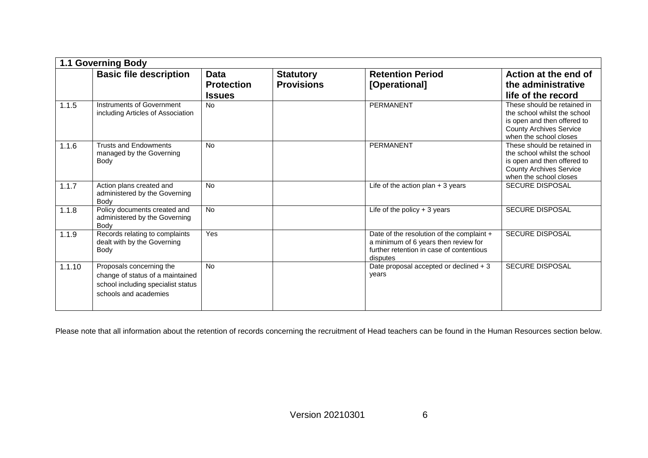|        | <b>1.1 Governing Body</b>                                                                                                   |                                                   |                                       |                                                                                                                                           |                                                                                                                                                        |  |
|--------|-----------------------------------------------------------------------------------------------------------------------------|---------------------------------------------------|---------------------------------------|-------------------------------------------------------------------------------------------------------------------------------------------|--------------------------------------------------------------------------------------------------------------------------------------------------------|--|
|        | <b>Basic file description</b>                                                                                               | <b>Data</b><br><b>Protection</b><br><b>Issues</b> | <b>Statutory</b><br><b>Provisions</b> | <b>Retention Period</b><br>[Operational]                                                                                                  | Action at the end of<br>the administrative<br>life of the record                                                                                       |  |
| 1.1.5  | Instruments of Government<br>including Articles of Association                                                              | <b>No</b>                                         |                                       | <b>PERMANENT</b>                                                                                                                          | These should be retained in<br>the school whilst the school<br>is open and then offered to<br><b>County Archives Service</b><br>when the school closes |  |
| 1.1.6  | <b>Trusts and Endowments</b><br>managed by the Governing<br>Body                                                            | <b>No</b>                                         |                                       | PERMANENT                                                                                                                                 | These should be retained in<br>the school whilst the school<br>is open and then offered to<br><b>County Archives Service</b><br>when the school closes |  |
| 1.1.7  | Action plans created and<br>administered by the Governing<br>Body                                                           | <b>No</b>                                         |                                       | Life of the action plan $+3$ years                                                                                                        | <b>SECURE DISPOSAL</b>                                                                                                                                 |  |
| 1.1.8  | Policy documents created and<br>administered by the Governing<br>Body                                                       | No                                                |                                       | Life of the policy $+3$ years                                                                                                             | <b>SECURE DISPOSAL</b>                                                                                                                                 |  |
| 1.1.9  | Records relating to complaints<br>dealt with by the Governing<br>Body                                                       | Yes                                               |                                       | Date of the resolution of the complaint +<br>a minimum of 6 years then review for<br>further retention in case of contentious<br>disputes | <b>SECURE DISPOSAL</b>                                                                                                                                 |  |
| 1.1.10 | Proposals concerning the<br>change of status of a maintained<br>school including specialist status<br>schools and academies | <b>No</b>                                         |                                       | Date proposal accepted or declined + 3<br>years                                                                                           | <b>SECURE DISPOSAL</b>                                                                                                                                 |  |

Please note that all information about the retention of records concerning the recruitment of Head teachers can be found in the Human Resources section below.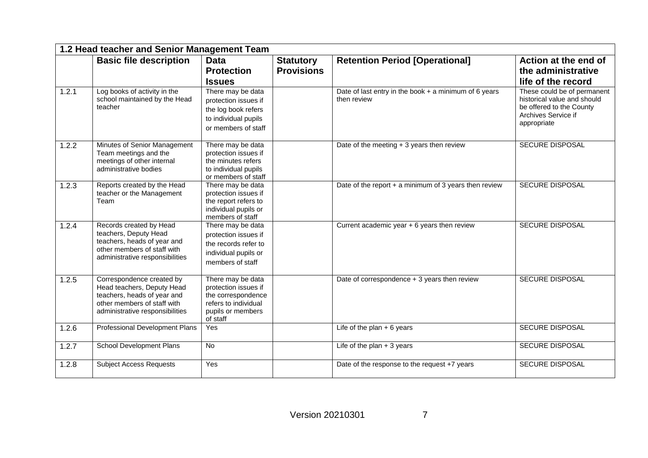|       | 1.2 Head teacher and Senior Management Team                                                                                                              |                                                                                                                          |                                       |                                                                        |                                                                                                                              |
|-------|----------------------------------------------------------------------------------------------------------------------------------------------------------|--------------------------------------------------------------------------------------------------------------------------|---------------------------------------|------------------------------------------------------------------------|------------------------------------------------------------------------------------------------------------------------------|
|       | <b>Basic file description</b>                                                                                                                            | <b>Data</b><br><b>Protection</b><br><b>Issues</b>                                                                        | <b>Statutory</b><br><b>Provisions</b> | <b>Retention Period [Operational]</b>                                  | Action at the end of<br>the administrative<br>life of the record                                                             |
| 1.2.1 | Log books of activity in the<br>school maintained by the Head<br>teacher                                                                                 | There may be data<br>protection issues if<br>the log book refers<br>to individual pupils<br>or members of staff          |                                       | Date of last entry in the book $+$ a minimum of 6 years<br>then review | These could be of permanent<br>historical value and should<br>be offered to the County<br>Archives Service if<br>appropriate |
| 1.2.2 | Minutes of Senior Management<br>Team meetings and the<br>meetings of other internal<br>administrative bodies                                             | There may be data<br>protection issues if<br>the minutes refers<br>to individual pupils<br>or members of staff           |                                       | Date of the meeting $+3$ years then review                             | <b>SECURE DISPOSAL</b>                                                                                                       |
| 1.2.3 | Reports created by the Head<br>teacher or the Management<br>Team                                                                                         | There may be data<br>protection issues if<br>the report refers to<br>individual pupils or<br>members of staff            |                                       | Date of the report $+$ a minimum of 3 years then review                | <b>SECURE DISPOSAL</b>                                                                                                       |
| 1.2.4 | Records created by Head<br>teachers, Deputy Head<br>teachers, heads of year and<br>other members of staff with<br>administrative responsibilities        | There may be data<br>protection issues if<br>the records refer to<br>individual pupils or<br>members of staff            |                                       | Current academic year + 6 years then review                            | <b>SECURE DISPOSAL</b>                                                                                                       |
| 1.2.5 | Correspondence created by<br>Head teachers, Deputy Head<br>teachers, heads of year and<br>other members of staff with<br>administrative responsibilities | There may be data<br>protection issues if<br>the correspondence<br>refers to individual<br>pupils or members<br>of staff |                                       | Date of correspondence + 3 years then review                           | <b>SECURE DISPOSAL</b>                                                                                                       |
| 1.2.6 | <b>Professional Development Plans</b>                                                                                                                    | Yes                                                                                                                      |                                       | Life of the plan $+6$ years                                            | <b>SECURE DISPOSAL</b>                                                                                                       |
| 1.2.7 | <b>School Development Plans</b>                                                                                                                          | No                                                                                                                       |                                       | Life of the plan $+3$ years                                            | <b>SECURE DISPOSAL</b>                                                                                                       |
| 1.2.8 | <b>Subject Access Requests</b>                                                                                                                           | Yes                                                                                                                      |                                       | Date of the response to the request +7 years                           | <b>SECURE DISPOSAL</b>                                                                                                       |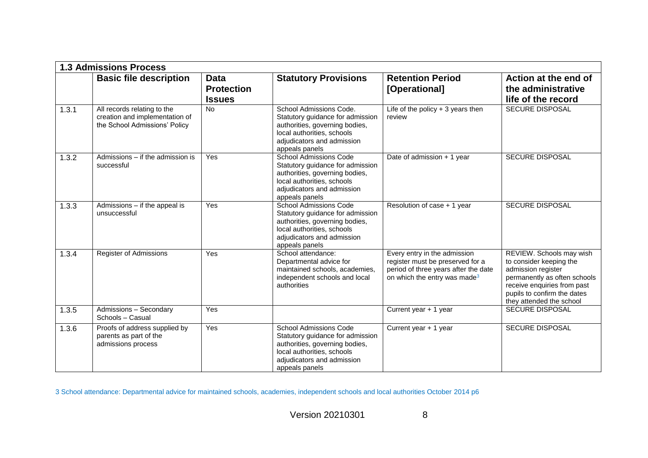|       | <b>1.3 Admissions Process</b>                                                                  |                                                   |                                                                                                                                                                                   |                                                                                                                                                      |                                                                                                                                                                                                     |
|-------|------------------------------------------------------------------------------------------------|---------------------------------------------------|-----------------------------------------------------------------------------------------------------------------------------------------------------------------------------------|------------------------------------------------------------------------------------------------------------------------------------------------------|-----------------------------------------------------------------------------------------------------------------------------------------------------------------------------------------------------|
|       | <b>Basic file description</b>                                                                  | <b>Data</b><br><b>Protection</b><br><b>Issues</b> | <b>Statutory Provisions</b>                                                                                                                                                       | <b>Retention Period</b><br>[Operational]                                                                                                             | Action at the end of<br>the administrative<br>life of the record                                                                                                                                    |
| 1.3.1 | All records relating to the<br>creation and implementation of<br>the School Admissions' Policy | <b>No</b>                                         | School Admissions Code.<br>Statutory guidance for admission<br>authorities, governing bodies,<br>local authorities, schools<br>adjudicators and admission<br>appeals panels       | Life of the policy $+3$ years then<br>review                                                                                                         | <b>SECURE DISPOSAL</b>                                                                                                                                                                              |
| 1.3.2 | Admissions - if the admission is<br>successful                                                 | Yes                                               | <b>School Admissions Code</b><br>Statutory guidance for admission<br>authorities, governing bodies,<br>local authorities, schools<br>adjudicators and admission<br>appeals panels | Date of admission + 1 year                                                                                                                           | SECURE DISPOSAL                                                                                                                                                                                     |
| 1.3.3 | Admissions - if the appeal is<br>unsuccessful                                                  | Yes                                               | <b>School Admissions Code</b><br>Statutory guidance for admission<br>authorities, governing bodies,<br>local authorities, schools<br>adjudicators and admission<br>appeals panels | Resolution of case + 1 year                                                                                                                          | <b>SECURE DISPOSAL</b>                                                                                                                                                                              |
| 1.3.4 | Register of Admissions                                                                         | Yes                                               | School attendance:<br>Departmental advice for<br>maintained schools, academies,<br>independent schools and local<br>authorities                                                   | Every entry in the admission<br>register must be preserved for a<br>period of three years after the date<br>on which the entry was made <sup>3</sup> | REVIEW. Schools may wish<br>to consider keeping the<br>admission register<br>permanently as often schools<br>receive enquiries from past<br>pupils to confirm the dates<br>they attended the school |
| 1.3.5 | Admissions - Secondary<br>Schools - Casual                                                     | Yes                                               |                                                                                                                                                                                   | Current year + 1 year                                                                                                                                | <b>SECURE DISPOSAL</b>                                                                                                                                                                              |
| 1.3.6 | Proofs of address supplied by<br>parents as part of the<br>admissions process                  | Yes                                               | <b>School Admissions Code</b><br>Statutory guidance for admission<br>authorities, governing bodies,<br>local authorities, schools<br>adjudicators and admission<br>appeals panels | Current year + 1 year                                                                                                                                | <b>SECURE DISPOSAL</b>                                                                                                                                                                              |

3 School attendance: Departmental advice for maintained schools, academies, independent schools and local authorities October 2014 p6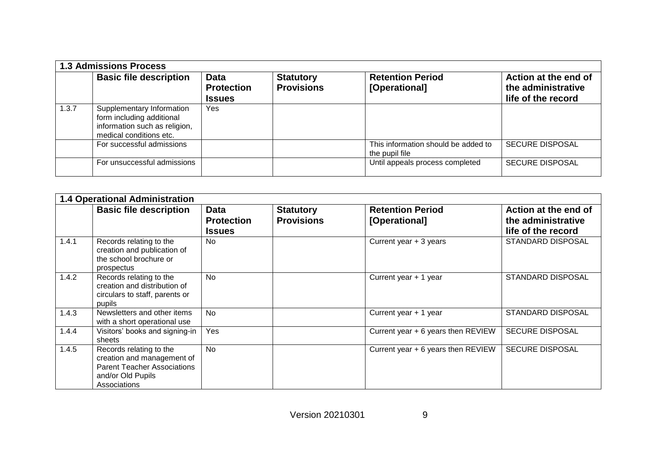|       | <b>1.3 Admissions Process</b>                                                                                      |                                                   |                                       |                                                       |                                                                  |  |
|-------|--------------------------------------------------------------------------------------------------------------------|---------------------------------------------------|---------------------------------------|-------------------------------------------------------|------------------------------------------------------------------|--|
|       | <b>Basic file description</b>                                                                                      | <b>Data</b><br><b>Protection</b><br><b>Issues</b> | <b>Statutory</b><br><b>Provisions</b> | <b>Retention Period</b><br>[Operational]              | Action at the end of<br>the administrative<br>life of the record |  |
| 1.3.7 | Supplementary Information<br>form including additional<br>information such as religion,<br>medical conditions etc. | Yes                                               |                                       |                                                       |                                                                  |  |
|       | For successful admissions                                                                                          |                                                   |                                       | This information should be added to<br>the pupil file | <b>SECURE DISPOSAL</b>                                           |  |
|       | For unsuccessful admissions                                                                                        |                                                   |                                       | Until appeals process completed                       | <b>SECURE DISPOSAL</b>                                           |  |

|       | <b>1.4 Operational Administration</b>                                                                                            |                                                   |                                       |                                          |                                                                  |  |
|-------|----------------------------------------------------------------------------------------------------------------------------------|---------------------------------------------------|---------------------------------------|------------------------------------------|------------------------------------------------------------------|--|
|       | <b>Basic file description</b>                                                                                                    | <b>Data</b><br><b>Protection</b><br><b>Issues</b> | <b>Statutory</b><br><b>Provisions</b> | <b>Retention Period</b><br>[Operational] | Action at the end of<br>the administrative<br>life of the record |  |
| 1.4.1 | Records relating to the<br>creation and publication of<br>the school brochure or<br>prospectus                                   | No.                                               |                                       | Current year $+3$ years                  | <b>STANDARD DISPOSAL</b>                                         |  |
| 1.4.2 | Records relating to the<br>creation and distribution of<br>circulars to staff, parents or<br>pupils                              | <b>No</b>                                         |                                       | Current year + 1 year                    | <b>STANDARD DISPOSAL</b>                                         |  |
| 1.4.3 | Newsletters and other items<br>with a short operational use                                                                      | <b>No</b>                                         |                                       | Current year + 1 year                    | <b>STANDARD DISPOSAL</b>                                         |  |
| 1.4.4 | Visitors' books and signing-in<br>sheets                                                                                         | Yes                                               |                                       | Current year + 6 years then REVIEW       | <b>SECURE DISPOSAL</b>                                           |  |
| 1.4.5 | Records relating to the<br>creation and management of<br><b>Parent Teacher Associations</b><br>and/or Old Pupils<br>Associations | <b>No</b>                                         |                                       | Current year + 6 years then REVIEW       | <b>SECURE DISPOSAL</b>                                           |  |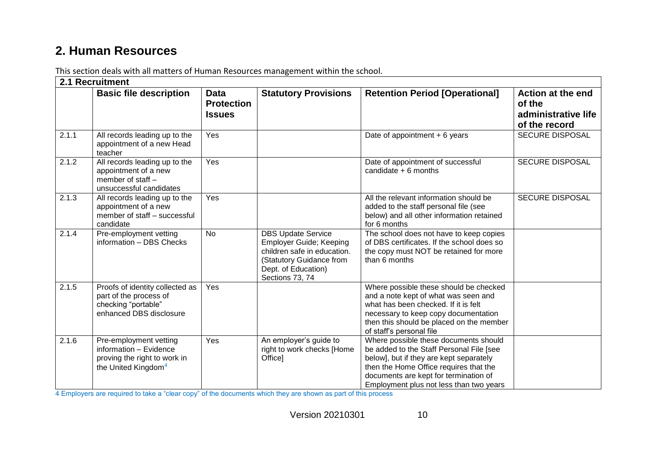#### **2. Human Resources**

|       | 2.1 Recruitment                                                                                                     |                                                   |                                                                                                                                                                  |                                                                                                                                                                                                                                                            |                                                                     |
|-------|---------------------------------------------------------------------------------------------------------------------|---------------------------------------------------|------------------------------------------------------------------------------------------------------------------------------------------------------------------|------------------------------------------------------------------------------------------------------------------------------------------------------------------------------------------------------------------------------------------------------------|---------------------------------------------------------------------|
|       | <b>Basic file description</b>                                                                                       | <b>Data</b><br><b>Protection</b><br><b>Issues</b> | <b>Statutory Provisions</b>                                                                                                                                      | <b>Retention Period [Operational]</b>                                                                                                                                                                                                                      | Action at the end<br>of the<br>administrative life<br>of the record |
| 2.1.1 | All records leading up to the<br>appointment of a new Head<br>teacher                                               | Yes                                               |                                                                                                                                                                  | Date of appointment + 6 years                                                                                                                                                                                                                              | <b>SECURE DISPOSAL</b>                                              |
| 2.1.2 | All records leading up to the<br>appointment of a new<br>member of staff -<br>unsuccessful candidates               | Yes                                               |                                                                                                                                                                  | Date of appointment of successful<br>candidate $+6$ months                                                                                                                                                                                                 | <b>SECURE DISPOSAL</b>                                              |
| 2.1.3 | All records leading up to the<br>appointment of a new<br>member of staff - successful<br>candidate                  | Yes                                               |                                                                                                                                                                  | All the relevant information should be<br>added to the staff personal file (see<br>below) and all other information retained<br>for 6 months                                                                                                               | <b>SECURE DISPOSAL</b>                                              |
| 2.1.4 | Pre-employment vetting<br>information - DBS Checks                                                                  | <b>No</b>                                         | <b>DBS Update Service</b><br><b>Employer Guide; Keeping</b><br>children safe in education.<br>(Statutory Guidance from<br>Dept. of Education)<br>Sections 73, 74 | The school does not have to keep copies<br>of DBS certificates. If the school does so<br>the copy must NOT be retained for more<br>than 6 months                                                                                                           |                                                                     |
| 2.1.5 | Proofs of identity collected as<br>part of the process of<br>checking "portable"<br>enhanced DBS disclosure         | Yes                                               |                                                                                                                                                                  | Where possible these should be checked<br>and a note kept of what was seen and<br>what has been checked. If it is felt<br>necessary to keep copy documentation<br>then this should be placed on the member<br>of staff's personal file                     |                                                                     |
| 2.1.6 | Pre-employment vetting<br>information - Evidence<br>proving the right to work in<br>the United Kingdom <sup>4</sup> | Yes                                               | An employer's guide to<br>right to work checks [Home<br>Office]                                                                                                  | Where possible these documents should<br>be added to the Staff Personal File [see<br>below], but if they are kept separately<br>then the Home Office requires that the<br>documents are kept for termination of<br>Employment plus not less than two years |                                                                     |

This section deals with all matters of Human Resources management within the school.

4 Employers are required to take a "clear copy" of the documents which they are shown as part of this process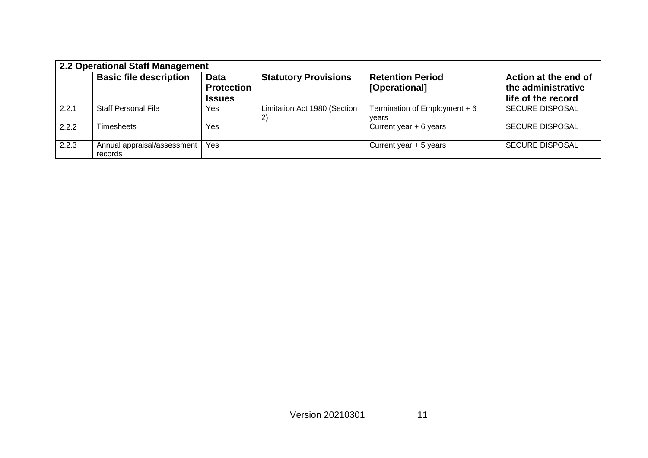|       | 2.2 Operational Staff Management       |                                                   |                                    |                                          |                                                                  |  |
|-------|----------------------------------------|---------------------------------------------------|------------------------------------|------------------------------------------|------------------------------------------------------------------|--|
|       | <b>Basic file description</b>          | <b>Data</b><br><b>Protection</b><br><b>Issues</b> | <b>Statutory Provisions</b>        | <b>Retention Period</b><br>[Operational] | Action at the end of<br>the administrative<br>life of the record |  |
| 2.2.1 | <b>Staff Personal File</b>             | Yes                                               | Limitation Act 1980 (Section<br>2) | Termination of Employment $+6$<br>vears  | <b>SECURE DISPOSAL</b>                                           |  |
| 2.2.2 | <b>Timesheets</b>                      | Yes                                               |                                    | Current year $+ 6$ years                 | <b>SECURE DISPOSAL</b>                                           |  |
| 2.2.3 | Annual appraisal/assessment<br>records | <b>Yes</b>                                        |                                    | Current year $+5$ years                  | <b>SECURE DISPOSAL</b>                                           |  |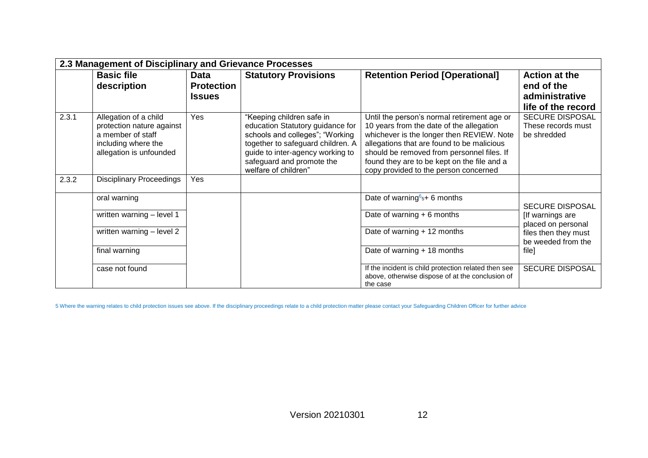| 2.3 Management of Disciplinary and Grievance Processes |                                                                                                                           |                                                   |                                                                                                                                                                                                                                |                                                                                                                                                                                                                                                                                                                          |                                                                            |  |
|--------------------------------------------------------|---------------------------------------------------------------------------------------------------------------------------|---------------------------------------------------|--------------------------------------------------------------------------------------------------------------------------------------------------------------------------------------------------------------------------------|--------------------------------------------------------------------------------------------------------------------------------------------------------------------------------------------------------------------------------------------------------------------------------------------------------------------------|----------------------------------------------------------------------------|--|
|                                                        | <b>Basic file</b><br>description                                                                                          | <b>Data</b><br><b>Protection</b><br><b>Issues</b> | <b>Statutory Provisions</b>                                                                                                                                                                                                    | <b>Retention Period [Operational]</b>                                                                                                                                                                                                                                                                                    | <b>Action at the</b><br>end of the<br>administrative<br>life of the record |  |
| 2.3.1                                                  | Allegation of a child<br>protection nature against<br>a member of staff<br>including where the<br>allegation is unfounded | Yes                                               | "Keeping children safe in<br>education Statutory guidance for<br>schools and colleges"; "Working<br>together to safeguard children. A<br>guide to inter-agency working to<br>safeguard and promote the<br>welfare of children" | Until the person's normal retirement age or<br>10 years from the date of the allegation<br>whichever is the longer then REVIEW. Note<br>allegations that are found to be malicious<br>should be removed from personnel files. If<br>found they are to be kept on the file and a<br>copy provided to the person concerned | <b>SECURE DISPOSAL</b><br>These records must<br>be shredded                |  |
| 2.3.2                                                  | <b>Disciplinary Proceedings</b>                                                                                           | Yes                                               |                                                                                                                                                                                                                                |                                                                                                                                                                                                                                                                                                                          |                                                                            |  |
|                                                        | oral warning                                                                                                              |                                                   |                                                                                                                                                                                                                                | Date of warning $65$ + 6 months                                                                                                                                                                                                                                                                                          | <b>SECURE DISPOSAL</b>                                                     |  |
|                                                        | written warning - level 1                                                                                                 |                                                   |                                                                                                                                                                                                                                | Date of warning + 6 months                                                                                                                                                                                                                                                                                               | [If warnings are<br>placed on personal                                     |  |
|                                                        | written warning - level 2                                                                                                 |                                                   |                                                                                                                                                                                                                                | Date of warning + 12 months                                                                                                                                                                                                                                                                                              | files then they must<br>be weeded from the                                 |  |
|                                                        | final warning                                                                                                             |                                                   |                                                                                                                                                                                                                                | Date of warning + 18 months                                                                                                                                                                                                                                                                                              | file]                                                                      |  |
|                                                        | case not found                                                                                                            |                                                   |                                                                                                                                                                                                                                | If the incident is child protection related then see<br>above, otherwise dispose of at the conclusion of<br>the case                                                                                                                                                                                                     | <b>SECURE DISPOSAL</b>                                                     |  |

5 Where the warning relates to child protection issues see above. If the disciplinary proceedings relate to a child protection matter please contact your Safeguarding Children Officer for further advice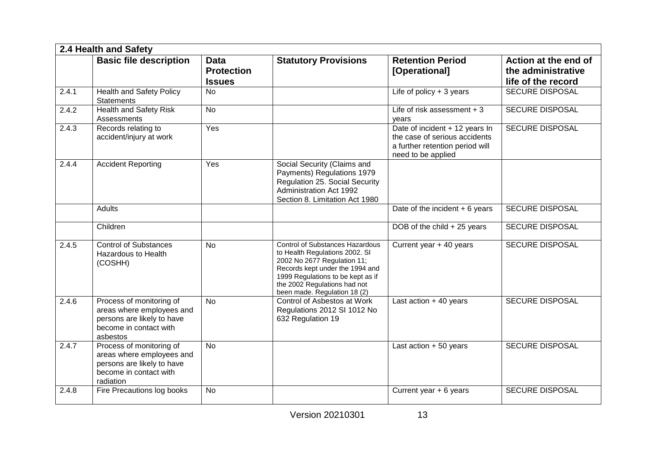|       | 2.4 Health and Safety                                                                                                      |                                                   |                                                                                                                                                                                                                                                 |                                                                                                                          |                                                                  |  |  |  |
|-------|----------------------------------------------------------------------------------------------------------------------------|---------------------------------------------------|-------------------------------------------------------------------------------------------------------------------------------------------------------------------------------------------------------------------------------------------------|--------------------------------------------------------------------------------------------------------------------------|------------------------------------------------------------------|--|--|--|
|       | <b>Basic file description</b>                                                                                              | <b>Data</b><br><b>Protection</b><br><b>Issues</b> | <b>Statutory Provisions</b>                                                                                                                                                                                                                     | <b>Retention Period</b><br>[Operational]                                                                                 | Action at the end of<br>the administrative<br>life of the record |  |  |  |
| 2.4.1 | <b>Health and Safety Policy</b><br><b>Statements</b>                                                                       | <b>No</b>                                         |                                                                                                                                                                                                                                                 | Life of policy $+3$ years                                                                                                | <b>SECURE DISPOSAL</b>                                           |  |  |  |
| 2.4.2 | <b>Health and Safety Risk</b><br><b>Assessments</b>                                                                        | <b>No</b>                                         |                                                                                                                                                                                                                                                 | Life of risk assessment $+3$<br>vears                                                                                    | <b>SECURE DISPOSAL</b>                                           |  |  |  |
| 2.4.3 | Records relating to<br>accident/injury at work                                                                             | Yes                                               |                                                                                                                                                                                                                                                 | Date of incident + 12 years In<br>the case of serious accidents<br>a further retention period will<br>need to be applied | <b>SECURE DISPOSAL</b>                                           |  |  |  |
| 2.4.4 | <b>Accident Reporting</b>                                                                                                  | Yes                                               | Social Security (Claims and<br>Payments) Regulations 1979<br>Regulation 25. Social Security<br>Administration Act 1992<br>Section 8. Limitation Act 1980                                                                                        |                                                                                                                          |                                                                  |  |  |  |
|       | <b>Adults</b>                                                                                                              |                                                   |                                                                                                                                                                                                                                                 | Date of the incident $+6$ years                                                                                          | <b>SECURE DISPOSAL</b>                                           |  |  |  |
|       | Children                                                                                                                   |                                                   |                                                                                                                                                                                                                                                 | DOB of the child $+25$ years                                                                                             | <b>SECURE DISPOSAL</b>                                           |  |  |  |
| 2.4.5 | <b>Control of Substances</b><br><b>Hazardous to Health</b><br>(COSHH)                                                      | <b>No</b>                                         | <b>Control of Substances Hazardous</b><br>to Health Regulations 2002. SI<br>2002 No 2677 Regulation 11;<br>Records kept under the 1994 and<br>1999 Regulations to be kept as if<br>the 2002 Regulations had not<br>been made. Regulation 18 (2) | Current year + 40 years                                                                                                  | <b>SECURE DISPOSAL</b>                                           |  |  |  |
| 2.4.6 | Process of monitoring of<br>areas where employees and<br>persons are likely to have<br>become in contact with<br>asbestos  | <b>No</b>                                         | Control of Asbestos at Work<br>Regulations 2012 SI 1012 No<br>632 Regulation 19                                                                                                                                                                 | Last action $+40$ years                                                                                                  | <b>SECURE DISPOSAL</b>                                           |  |  |  |
| 2.4.7 | Process of monitoring of<br>areas where employees and<br>persons are likely to have<br>become in contact with<br>radiation | <b>No</b>                                         |                                                                                                                                                                                                                                                 | Last action $+50$ years                                                                                                  | <b>SECURE DISPOSAL</b>                                           |  |  |  |
| 2.4.8 | Fire Precautions log books                                                                                                 | <b>No</b>                                         |                                                                                                                                                                                                                                                 | Current year $+ 6$ years                                                                                                 | <b>SECURE DISPOSAL</b>                                           |  |  |  |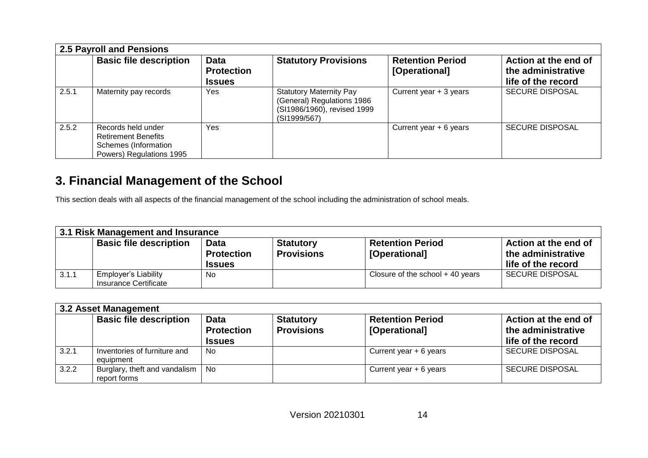| <b>2.5 Payroll and Pensions</b> |                                                                                                      |                                                   |                                                                                                             |                                          |                                                                  |  |  |
|---------------------------------|------------------------------------------------------------------------------------------------------|---------------------------------------------------|-------------------------------------------------------------------------------------------------------------|------------------------------------------|------------------------------------------------------------------|--|--|
|                                 | <b>Basic file description</b>                                                                        | <b>Data</b><br><b>Protection</b><br><b>Issues</b> | <b>Statutory Provisions</b>                                                                                 | <b>Retention Period</b><br>[Operational] | Action at the end of<br>the administrative<br>life of the record |  |  |
| 2.5.1                           | Maternity pay records                                                                                | Yes                                               | <b>Statutory Maternity Pay</b><br>(General) Regulations 1986<br>(SI1986/1960), revised 1999<br>(SI1999/567) | Current year + 3 years                   | <b>SECURE DISPOSAL</b>                                           |  |  |
| 2.5.2                           | Records held under<br><b>Retirement Benefits</b><br>Schemes (Information<br>Powers) Regulations 1995 | Yes.                                              |                                                                                                             | Current year $+ 6$ years                 | <b>SECURE DISPOSAL</b>                                           |  |  |

#### **3. Financial Management of the School**

This section deals with all aspects of the financial management of the school including the administration of school meals.

| 3.1 Risk Management and Insurance |                                                      |                                            |                                       |                                          |                                                                  |  |  |  |
|-----------------------------------|------------------------------------------------------|--------------------------------------------|---------------------------------------|------------------------------------------|------------------------------------------------------------------|--|--|--|
|                                   | <b>Basic file description</b>                        | Data<br><b>Protection</b><br><b>Issues</b> | <b>Statutory</b><br><b>Provisions</b> | <b>Retention Period</b><br>[Operational] | Action at the end of<br>the administrative<br>life of the record |  |  |  |
| 3.1.1                             | <b>Employer's Liability</b><br>Insurance Certificate | No                                         |                                       | Closure of the school $+$ 40 years       | <b>SECURE DISPOSAL</b>                                           |  |  |  |

| 3.2 Asset Management |                                                 |                                                   |                                       |                                          |                                                                  |  |  |
|----------------------|-------------------------------------------------|---------------------------------------------------|---------------------------------------|------------------------------------------|------------------------------------------------------------------|--|--|
|                      | <b>Basic file description</b>                   | <b>Data</b><br><b>Protection</b><br><b>Issues</b> | <b>Statutory</b><br><b>Provisions</b> | <b>Retention Period</b><br>[Operational] | Action at the end of<br>the administrative<br>life of the record |  |  |
| 3.2.1                | Inventories of furniture and<br>equipment       | No.                                               |                                       | Current year $+ 6$ years                 | <b>SECURE DISPOSAL</b>                                           |  |  |
| 3.2.2                | Burglary, theft and vandalism  <br>report forms | No                                                |                                       | Current year $+ 6$ years                 | <b>SECURE DISPOSAL</b>                                           |  |  |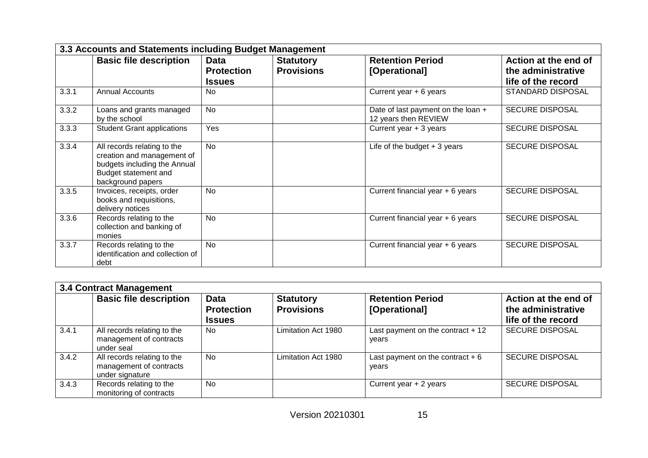| 3.3 Accounts and Statements including Budget Management |                                                                                                                                        |                                            |                                       |                                                            |                                                                  |  |  |
|---------------------------------------------------------|----------------------------------------------------------------------------------------------------------------------------------------|--------------------------------------------|---------------------------------------|------------------------------------------------------------|------------------------------------------------------------------|--|--|
|                                                         | <b>Basic file description</b>                                                                                                          | Data<br><b>Protection</b><br><b>Issues</b> | <b>Statutory</b><br><b>Provisions</b> | <b>Retention Period</b><br>[Operational]                   | Action at the end of<br>the administrative<br>life of the record |  |  |
| 3.3.1                                                   | <b>Annual Accounts</b>                                                                                                                 | N <sub>0</sub>                             |                                       | Current year $+ 6$ years                                   | <b>STANDARD DISPOSAL</b>                                         |  |  |
| 3.3.2                                                   | Loans and grants managed<br>by the school                                                                                              | <b>No</b>                                  |                                       | Date of last payment on the loan +<br>12 years then REVIEW | <b>SECURE DISPOSAL</b>                                           |  |  |
| 3.3.3                                                   | <b>Student Grant applications</b>                                                                                                      | Yes                                        |                                       | Current year + 3 years                                     | <b>SECURE DISPOSAL</b>                                           |  |  |
| 3.3.4                                                   | All records relating to the<br>creation and management of<br>budgets including the Annual<br>Budget statement and<br>background papers | <b>No</b>                                  |                                       | Life of the budget $+3$ years                              | <b>SECURE DISPOSAL</b>                                           |  |  |
| 3.3.5                                                   | Invoices, receipts, order<br>books and requisitions,<br>delivery notices                                                               | <b>No</b>                                  |                                       | Current financial year + 6 years                           |                                                                  |  |  |
| 3.3.6                                                   | Records relating to the<br>collection and banking of<br>monies                                                                         | <b>No</b>                                  |                                       | Current financial year + 6 years                           | <b>SECURE DISPOSAL</b>                                           |  |  |
| 3.3.7                                                   | Records relating to the<br>identification and collection of<br>debt                                                                    | <b>No</b>                                  |                                       | Current financial year + 6 years                           | <b>SECURE DISPOSAL</b>                                           |  |  |

| <b>3.4 Contract Management</b> |                                                                           |                                                   |                                       |                                             |                                                                  |  |  |
|--------------------------------|---------------------------------------------------------------------------|---------------------------------------------------|---------------------------------------|---------------------------------------------|------------------------------------------------------------------|--|--|
|                                | <b>Basic file description</b>                                             | <b>Data</b><br><b>Protection</b><br><b>Issues</b> | <b>Statutory</b><br><b>Provisions</b> | <b>Retention Period</b><br>[Operational]    | Action at the end of<br>the administrative<br>life of the record |  |  |
| 3.4.1                          | All records relating to the<br>management of contracts<br>under seal      | <b>No</b>                                         | Limitation Act 1980                   | Last payment on the contract $+12$<br>vears | <b>SECURE DISPOSAL</b>                                           |  |  |
| 3.4.2                          | All records relating to the<br>management of contracts<br>under signature | <b>No</b>                                         | Limitation Act 1980                   | Last payment on the contract $+6$<br>years  | <b>SECURE DISPOSAL</b>                                           |  |  |
| 3.4.3                          | Records relating to the<br>monitoring of contracts                        | <b>No</b>                                         |                                       | Current year $+2$ years                     | <b>SECURE DISPOSAL</b>                                           |  |  |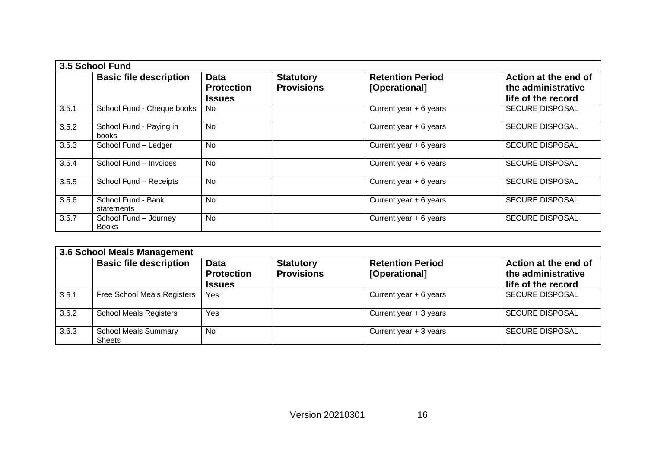|       | 3.5 School Fund                         |                                                   |                                       |                                          |                                                                  |  |  |  |
|-------|-----------------------------------------|---------------------------------------------------|---------------------------------------|------------------------------------------|------------------------------------------------------------------|--|--|--|
|       | <b>Basic file description</b>           | <b>Data</b><br><b>Protection</b><br><b>Issues</b> | <b>Statutory</b><br><b>Provisions</b> | <b>Retention Period</b><br>[Operational] | Action at the end of<br>the administrative<br>life of the record |  |  |  |
| 3.5.1 | School Fund - Cheque books              | No.                                               |                                       | Current year $+ 6$ years                 | <b>SECURE DISPOSAL</b>                                           |  |  |  |
| 3.5.2 | School Fund - Paying in<br><b>books</b> | <b>No</b>                                         |                                       | Current year $+ 6$ years                 | <b>SECURE DISPOSAL</b>                                           |  |  |  |
| 3.5.3 | School Fund - Ledger                    | <b>No</b>                                         |                                       | Current year $+ 6$ years                 | <b>SECURE DISPOSAL</b>                                           |  |  |  |
| 3.5.4 | School Fund - Invoices                  | <b>No</b>                                         |                                       | Current year $+ 6$ years                 | <b>SECURE DISPOSAL</b>                                           |  |  |  |
| 3.5.5 | School Fund - Receipts                  | <b>No</b>                                         |                                       | Current year $+ 6$ years                 | <b>SECURE DISPOSAL</b>                                           |  |  |  |
| 3.5.6 | School Fund - Bank<br>statements        | N <sub>0</sub>                                    |                                       | Current year $+ 6$ years                 | <b>SECURE DISPOSAL</b>                                           |  |  |  |
| 3.5.7 | School Fund - Journey<br><b>Books</b>   | <b>No</b>                                         |                                       | Current year + 6 years                   | <b>SECURE DISPOSAL</b>                                           |  |  |  |

| 3.6 School Meals Management |                                              |                                                   |                                       |                                          |                                                                  |  |  |  |
|-----------------------------|----------------------------------------------|---------------------------------------------------|---------------------------------------|------------------------------------------|------------------------------------------------------------------|--|--|--|
|                             | <b>Basic file description</b>                | <b>Data</b><br><b>Protection</b><br><b>Issues</b> | <b>Statutory</b><br><b>Provisions</b> | <b>Retention Period</b><br>[Operational] | Action at the end of<br>the administrative<br>life of the record |  |  |  |
| 3.6.1                       | <b>Free School Meals Registers</b>           | Yes                                               |                                       | Current year $+ 6$ years                 | <b>SECURE DISPOSAL</b>                                           |  |  |  |
| 3.6.2                       | <b>School Meals Registers</b>                | Yes                                               |                                       | Current year $+3$ years                  | <b>SECURE DISPOSAL</b>                                           |  |  |  |
| 3.6.3                       | <b>School Meals Summary</b><br><b>Sheets</b> | <b>No</b>                                         |                                       | Current year $+3$ years                  | <b>SECURE DISPOSAL</b>                                           |  |  |  |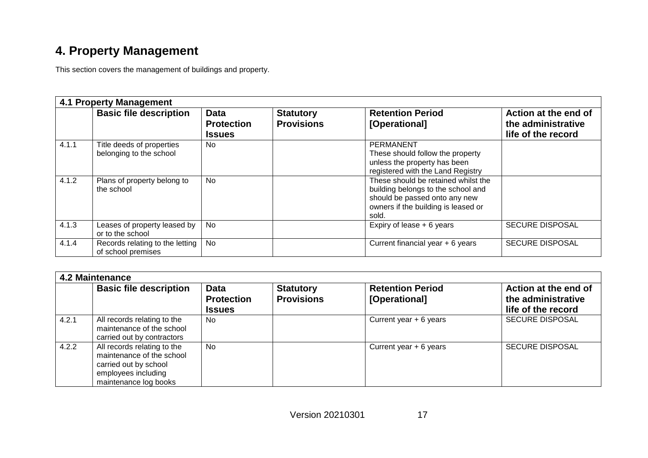## **4. Property Management**

This section covers the management of buildings and property.

|       | <b>4.1 Property Management</b>                        |                                                   |                                       |                                                                                                                                                            |                                                                  |  |  |  |
|-------|-------------------------------------------------------|---------------------------------------------------|---------------------------------------|------------------------------------------------------------------------------------------------------------------------------------------------------------|------------------------------------------------------------------|--|--|--|
|       | <b>Basic file description</b>                         | <b>Data</b><br><b>Protection</b><br><b>Issues</b> | <b>Statutory</b><br><b>Provisions</b> | <b>Retention Period</b><br>[Operational]                                                                                                                   | Action at the end of<br>the administrative<br>life of the record |  |  |  |
| 4.1.1 | Title deeds of properties<br>belonging to the school  | No.                                               |                                       | <b>PERMANENT</b><br>These should follow the property<br>unless the property has been<br>registered with the Land Registry                                  |                                                                  |  |  |  |
| 4.1.2 | Plans of property belong to<br>the school             | No                                                |                                       | These should be retained whilst the<br>building belongs to the school and<br>should be passed onto any new<br>owners if the building is leased or<br>sold. |                                                                  |  |  |  |
| 4.1.3 | Leases of property leased by<br>or to the school      | No                                                |                                       | Expiry of lease $+ 6$ years                                                                                                                                | <b>SECURE DISPOSAL</b>                                           |  |  |  |
| 4.1.4 | Records relating to the letting<br>of school premises | No                                                |                                       | Current financial year + 6 years                                                                                                                           | <b>SECURE DISPOSAL</b>                                           |  |  |  |

| 4.2 Maintenance |                                                                                                                                   |                                                   |                                       |                                          |                                                                  |  |  |
|-----------------|-----------------------------------------------------------------------------------------------------------------------------------|---------------------------------------------------|---------------------------------------|------------------------------------------|------------------------------------------------------------------|--|--|
|                 | <b>Basic file description</b>                                                                                                     | <b>Data</b><br><b>Protection</b><br><b>Issues</b> | <b>Statutory</b><br><b>Provisions</b> | <b>Retention Period</b><br>[Operational] | Action at the end of<br>the administrative<br>life of the record |  |  |
| 4.2.1           | All records relating to the<br>maintenance of the school<br>carried out by contractors                                            | <b>No</b>                                         |                                       | Current year $+ 6$ years                 | <b>SECURE DISPOSAL</b>                                           |  |  |
| 4.2.2           | All records relating to the<br>maintenance of the school<br>carried out by school<br>employees including<br>maintenance log books | <b>No</b>                                         |                                       | Current year $+ 6$ years                 | <b>SECURE DISPOSAL</b>                                           |  |  |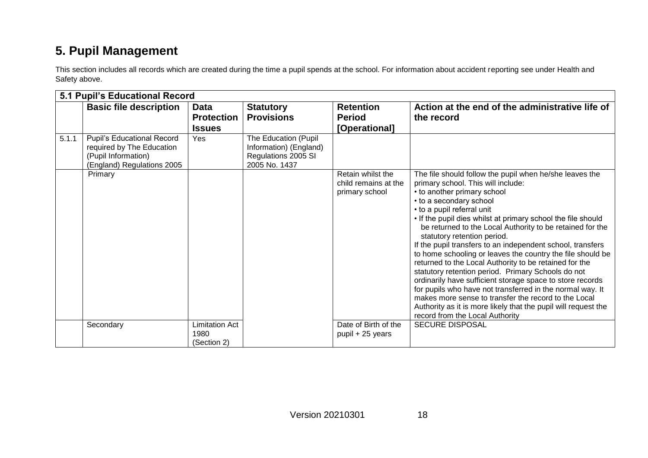## **5. Pupil Management**

This section includes all records which are created during the time a pupil spends at the school. For information about accident reporting see under Health and Safety above.

|       | 5.1 Pupil's Educational Record                                                                                      |                                       |                                                                                        |                                                             |                                                                                                                                                                                                                                                                                                                                                                                                                                                                                                                                                                                                                                                                                                                                                                                                                                                                                      |
|-------|---------------------------------------------------------------------------------------------------------------------|---------------------------------------|----------------------------------------------------------------------------------------|-------------------------------------------------------------|--------------------------------------------------------------------------------------------------------------------------------------------------------------------------------------------------------------------------------------------------------------------------------------------------------------------------------------------------------------------------------------------------------------------------------------------------------------------------------------------------------------------------------------------------------------------------------------------------------------------------------------------------------------------------------------------------------------------------------------------------------------------------------------------------------------------------------------------------------------------------------------|
|       | <b>Basic file description</b>                                                                                       | <b>Data</b>                           | <b>Statutory</b>                                                                       | <b>Retention</b>                                            | Action at the end of the administrative life of                                                                                                                                                                                                                                                                                                                                                                                                                                                                                                                                                                                                                                                                                                                                                                                                                                      |
|       |                                                                                                                     | <b>Protection</b>                     | <b>Provisions</b>                                                                      | <b>Period</b>                                               | the record                                                                                                                                                                                                                                                                                                                                                                                                                                                                                                                                                                                                                                                                                                                                                                                                                                                                           |
|       |                                                                                                                     | <b>Issues</b>                         |                                                                                        | [Operational]                                               |                                                                                                                                                                                                                                                                                                                                                                                                                                                                                                                                                                                                                                                                                                                                                                                                                                                                                      |
| 5.1.1 | <b>Pupil's Educational Record</b><br>required by The Education<br>(Pupil Information)<br>(England) Regulations 2005 | Yes                                   | The Education (Pupil<br>Information) (England)<br>Regulations 2005 SI<br>2005 No. 1437 |                                                             |                                                                                                                                                                                                                                                                                                                                                                                                                                                                                                                                                                                                                                                                                                                                                                                                                                                                                      |
|       | Primary                                                                                                             |                                       |                                                                                        | Retain whilst the<br>child remains at the<br>primary school | The file should follow the pupil when he/she leaves the<br>primary school. This will include:<br>• to another primary school<br>• to a secondary school<br>• to a pupil referral unit<br>. If the pupil dies whilst at primary school the file should<br>be returned to the Local Authority to be retained for the<br>statutory retention period.<br>If the pupil transfers to an independent school, transfers<br>to home schooling or leaves the country the file should be<br>returned to the Local Authority to be retained for the<br>statutory retention period. Primary Schools do not<br>ordinarily have sufficient storage space to store records<br>for pupils who have not transferred in the normal way. It<br>makes more sense to transfer the record to the Local<br>Authority as it is more likely that the pupil will request the<br>record from the Local Authority |
|       | Secondary                                                                                                           | Limitation Act<br>1980<br>(Section 2) |                                                                                        | Date of Birth of the<br>pupil + 25 years                    | <b>SECURE DISPOSAL</b>                                                                                                                                                                                                                                                                                                                                                                                                                                                                                                                                                                                                                                                                                                                                                                                                                                                               |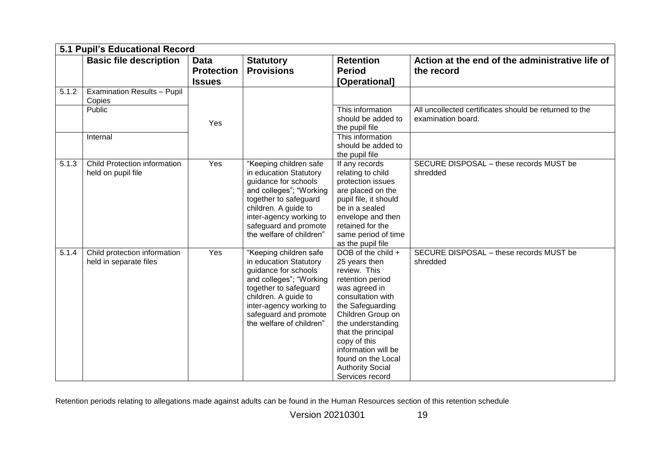|       | 5.1 Pupil's Educational Record                            |                                                   |                                                                                                                                                                                                                                      |                                                                                                                                                                                                                                                                                                              |                                                                              |  |  |  |  |
|-------|-----------------------------------------------------------|---------------------------------------------------|--------------------------------------------------------------------------------------------------------------------------------------------------------------------------------------------------------------------------------------|--------------------------------------------------------------------------------------------------------------------------------------------------------------------------------------------------------------------------------------------------------------------------------------------------------------|------------------------------------------------------------------------------|--|--|--|--|
|       | <b>Basic file description</b>                             | <b>Data</b><br><b>Protection</b><br><b>Issues</b> | <b>Statutory</b><br><b>Provisions</b>                                                                                                                                                                                                | <b>Retention</b><br><b>Period</b><br>[Operational]                                                                                                                                                                                                                                                           | Action at the end of the administrative life of<br>the record                |  |  |  |  |
| 5.1.2 | <b>Examination Results - Pupil</b><br>Copies              |                                                   |                                                                                                                                                                                                                                      |                                                                                                                                                                                                                                                                                                              |                                                                              |  |  |  |  |
|       | Public                                                    | Yes                                               |                                                                                                                                                                                                                                      | This information<br>should be added to<br>the pupil file                                                                                                                                                                                                                                                     | All uncollected certificates should be returned to the<br>examination board. |  |  |  |  |
|       | Internal                                                  |                                                   |                                                                                                                                                                                                                                      | This information<br>should be added to<br>the pupil file                                                                                                                                                                                                                                                     |                                                                              |  |  |  |  |
| 5.1.3 | <b>Child Protection information</b><br>held on pupil file | Yes                                               | "Keeping children safe<br>in education Statutory<br>guidance for schools<br>and colleges"; "Working<br>together to safeguard<br>children. A guide to<br>inter-agency working to<br>safeguard and promote<br>the welfare of children" | If any records<br>relating to child<br>protection issues<br>are placed on the<br>pupil file, it should<br>be in a sealed<br>envelope and then<br>retained for the<br>same period of time<br>as the pupil file                                                                                                | SECURE DISPOSAL - these records MUST be<br>shredded                          |  |  |  |  |
| 5.1.4 | Child protection information<br>held in separate files    | Yes                                               | "Keeping children safe<br>in education Statutory<br>guidance for schools<br>and colleges"; "Working<br>together to safeguard<br>children. A guide to<br>inter-agency working to<br>safeguard and promote<br>the welfare of children" | DOB of the child +<br>25 years then<br>review. This<br>retention period<br>was agreed in<br>consultation with<br>the Safeguarding<br>Children Group on<br>the understanding<br>that the principal<br>copy of this<br>information will be<br>found on the Local<br><b>Authority Social</b><br>Services record | SECURE DISPOSAL - these records MUST be<br>shredded                          |  |  |  |  |

Retention periods relating to allegations made against adults can be found in the Human Resources section of this retention schedule

Version 20210301 19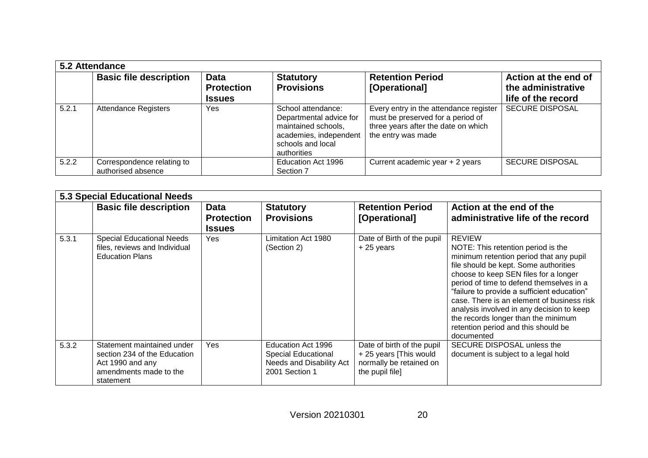|       | 5.2 Attendance                                   |                                                   |                                                                                                                                    |                                                                                                                                          |                                                                  |  |  |
|-------|--------------------------------------------------|---------------------------------------------------|------------------------------------------------------------------------------------------------------------------------------------|------------------------------------------------------------------------------------------------------------------------------------------|------------------------------------------------------------------|--|--|
|       | <b>Basic file description</b>                    | <b>Data</b><br><b>Protection</b><br><b>Issues</b> | <b>Statutory</b><br><b>Provisions</b>                                                                                              | <b>Retention Period</b><br>[Operational]                                                                                                 | Action at the end of<br>the administrative<br>life of the record |  |  |
| 5.2.1 | <b>Attendance Registers</b>                      | Yes                                               | School attendance:<br>Departmental advice for<br>maintained schools,<br>academies, independent<br>schools and local<br>authorities | Every entry in the attendance register<br>must be preserved for a period of<br>three years after the date on which<br>the entry was made | <b>SECURE DISPOSAL</b>                                           |  |  |
| 5.2.2 | Correspondence relating to<br>authorised absence |                                                   | Education Act 1996<br>Section 7                                                                                                    | Current academic year + 2 years                                                                                                          | <b>SECURE DISPOSAL</b>                                           |  |  |

|       | 5.3 Special Educational Needs                                                                                         |                                            |                                                                                                |                                                                                                    |                                                                                                                                                                                                                                                                                                                                                                                                                                                                    |  |  |
|-------|-----------------------------------------------------------------------------------------------------------------------|--------------------------------------------|------------------------------------------------------------------------------------------------|----------------------------------------------------------------------------------------------------|--------------------------------------------------------------------------------------------------------------------------------------------------------------------------------------------------------------------------------------------------------------------------------------------------------------------------------------------------------------------------------------------------------------------------------------------------------------------|--|--|
|       | <b>Basic file description</b>                                                                                         | Data<br><b>Protection</b><br><b>Issues</b> | <b>Statutory</b><br><b>Provisions</b>                                                          | <b>Retention Period</b><br>[Operational]                                                           | Action at the end of the<br>administrative life of the record                                                                                                                                                                                                                                                                                                                                                                                                      |  |  |
| 5.3.1 | <b>Special Educational Needs</b><br>files, reviews and Individual<br><b>Education Plans</b>                           | <b>Yes</b>                                 | Limitation Act 1980<br>(Section 2)                                                             | Date of Birth of the pupil<br>$+25$ years                                                          | <b>REVIEW</b><br>NOTE: This retention period is the<br>minimum retention period that any pupil<br>file should be kept. Some authorities<br>choose to keep SEN files for a longer<br>period of time to defend themselves in a<br>"failure to provide a sufficient education"<br>case. There is an element of business risk<br>analysis involved in any decision to keep<br>the records longer than the minimum<br>retention period and this should be<br>documented |  |  |
| 5.3.2 | Statement maintained under<br>section 234 of the Education<br>Act 1990 and any<br>amendments made to the<br>statement | Yes                                        | Education Act 1996<br><b>Special Educational</b><br>Needs and Disability Act<br>2001 Section 1 | Date of birth of the pupil<br>+ 25 years [This would<br>normally be retained on<br>the pupil file] | SECURE DISPOSAL unless the<br>document is subject to a legal hold                                                                                                                                                                                                                                                                                                                                                                                                  |  |  |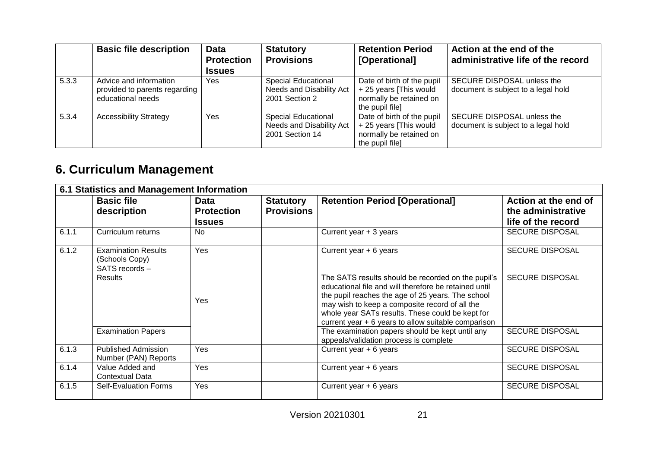|       | <b>Basic file description</b>                                                | <b>Data</b><br><b>Protection</b><br><b>Issues</b> | <b>Statutory</b><br><b>Provisions</b>                                     | <b>Retention Period</b><br>[Operational]                                                          | Action at the end of the<br>administrative life of the record     |
|-------|------------------------------------------------------------------------------|---------------------------------------------------|---------------------------------------------------------------------------|---------------------------------------------------------------------------------------------------|-------------------------------------------------------------------|
| 5.3.3 | Advice and information<br>provided to parents regarding<br>educational needs | <b>Yes</b>                                        | <b>Special Educational</b><br>Needs and Disability Act<br>2001 Section 2  | Date of birth of the pupil<br>+25 years [This would<br>normally be retained on<br>the pupil file] | SECURE DISPOSAL unless the<br>document is subject to a legal hold |
| 5.3.4 | <b>Accessibility Strategy</b>                                                | Yes                                               | <b>Special Educational</b><br>Needs and Disability Act<br>2001 Section 14 | Date of birth of the pupil<br>+25 years [This would<br>normally be retained on<br>the pupil file] | SECURE DISPOSAL unless the<br>document is subject to a legal hold |

## **6. Curriculum Management**

|       | 6.1 Statistics and Management Information              |                                                   |                                       |                                                                                                                                                                                                                                                                                                                                                                                                                            |                                                                  |  |  |
|-------|--------------------------------------------------------|---------------------------------------------------|---------------------------------------|----------------------------------------------------------------------------------------------------------------------------------------------------------------------------------------------------------------------------------------------------------------------------------------------------------------------------------------------------------------------------------------------------------------------------|------------------------------------------------------------------|--|--|
|       | <b>Basic file</b><br>description                       | <b>Data</b><br><b>Protection</b><br><b>Issues</b> | <b>Statutory</b><br><b>Provisions</b> | <b>Retention Period [Operational]</b>                                                                                                                                                                                                                                                                                                                                                                                      | Action at the end of<br>the administrative<br>life of the record |  |  |
| 6.1.1 | Curriculum returns                                     | <b>No</b>                                         |                                       | Current year $+3$ years                                                                                                                                                                                                                                                                                                                                                                                                    | <b>SECURE DISPOSAL</b>                                           |  |  |
| 6.1.2 | <b>Examination Results</b><br>(Schools Copy)           | Yes                                               |                                       | Current year $+ 6$ years                                                                                                                                                                                                                                                                                                                                                                                                   | <b>SECURE DISPOSAL</b>                                           |  |  |
|       | SATS records -<br>Results<br><b>Examination Papers</b> | Yes                                               |                                       | The SATS results should be recorded on the pupil's<br>educational file and will therefore be retained until<br>the pupil reaches the age of 25 years. The school<br>may wish to keep a composite record of all the<br>whole year SATs results. These could be kept for<br>current year + 6 years to allow suitable comparison<br>The examination papers should be kept until any<br>appeals/validation process is complete | <b>SECURE DISPOSAL</b><br><b>SECURE DISPOSAL</b>                 |  |  |
| 6.1.3 | <b>Published Admission</b><br>Number (PAN) Reports     | Yes                                               |                                       | Current year $+ 6$ years                                                                                                                                                                                                                                                                                                                                                                                                   | <b>SECURE DISPOSAL</b>                                           |  |  |
| 6.1.4 | Value Added and<br><b>Contextual Data</b>              | Yes                                               |                                       | Current year $+ 6$ years                                                                                                                                                                                                                                                                                                                                                                                                   | <b>SECURE DISPOSAL</b>                                           |  |  |
| 6.1.5 | Self-Evaluation Forms                                  | Yes                                               |                                       | Current year + 6 years                                                                                                                                                                                                                                                                                                                                                                                                     | <b>SECURE DISPOSAL</b>                                           |  |  |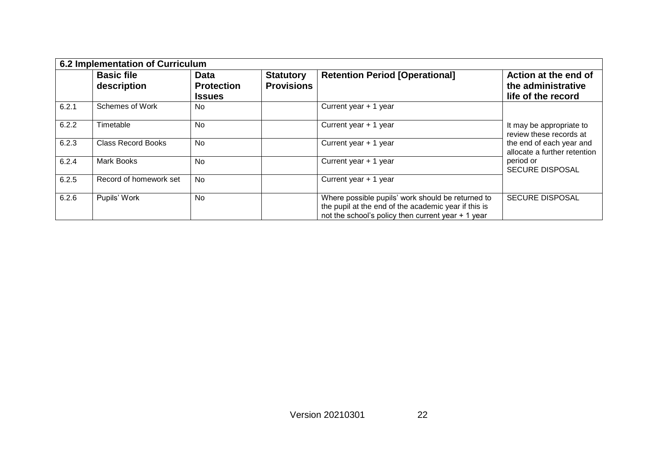| 6.2 Implementation of Curriculum |                                  |                                                   |                                       |                                                                                                                                                                  |                                                                  |  |
|----------------------------------|----------------------------------|---------------------------------------------------|---------------------------------------|------------------------------------------------------------------------------------------------------------------------------------------------------------------|------------------------------------------------------------------|--|
|                                  | <b>Basic file</b><br>description | <b>Data</b><br><b>Protection</b><br><b>Issues</b> | <b>Statutory</b><br><b>Provisions</b> | <b>Retention Period [Operational]</b>                                                                                                                            | Action at the end of<br>the administrative<br>life of the record |  |
| 6.2.1                            | <b>Schemes of Work</b>           | No.                                               |                                       | Current year + 1 year                                                                                                                                            |                                                                  |  |
| 6.2.2                            | Timetable                        | <b>No</b>                                         |                                       | Current year + 1 year                                                                                                                                            | It may be appropriate to<br>review these records at              |  |
| 6.2.3                            | <b>Class Record Books</b>        | <b>No</b>                                         |                                       | Current year + 1 year                                                                                                                                            | the end of each year and<br>allocate a further retention         |  |
| 6.2.4                            | Mark Books                       | <b>No</b>                                         |                                       | Current year + 1 year                                                                                                                                            | period or<br><b>SECURE DISPOSAL</b>                              |  |
| 6.2.5                            | Record of homework set           | <b>No</b>                                         |                                       | Current year + 1 year                                                                                                                                            |                                                                  |  |
| 6.2.6                            | Pupils' Work                     | <b>No</b>                                         |                                       | Where possible pupils' work should be returned to<br>the pupil at the end of the academic year if this is<br>not the school's policy then current year $+1$ year | <b>SECURE DISPOSAL</b>                                           |  |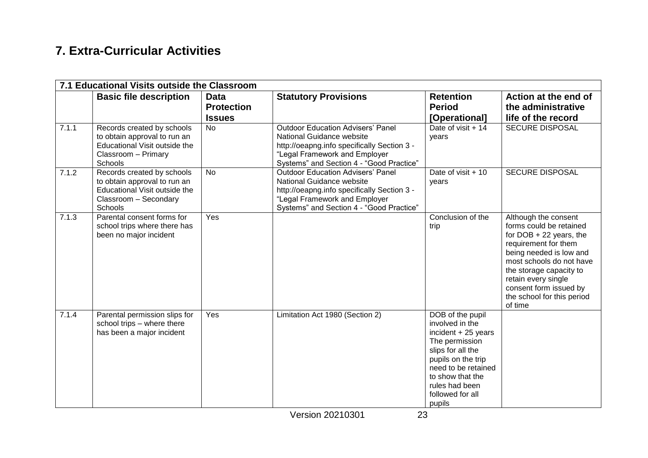#### **7. Extra-Curricular Activities**

|       | 7.1 Educational Visits outside the Classroom                                                                                    |                                                   |                                                                                                                                                                                                   |                                                                                                                                                                                                                     |                                                                                                                                                                                                                                                                                  |
|-------|---------------------------------------------------------------------------------------------------------------------------------|---------------------------------------------------|---------------------------------------------------------------------------------------------------------------------------------------------------------------------------------------------------|---------------------------------------------------------------------------------------------------------------------------------------------------------------------------------------------------------------------|----------------------------------------------------------------------------------------------------------------------------------------------------------------------------------------------------------------------------------------------------------------------------------|
|       | <b>Basic file description</b>                                                                                                   | <b>Data</b><br><b>Protection</b><br><b>Issues</b> | <b>Statutory Provisions</b>                                                                                                                                                                       | <b>Retention</b><br><b>Period</b><br>[Operational]                                                                                                                                                                  | Action at the end of<br>the administrative<br>life of the record                                                                                                                                                                                                                 |
| 7.1.1 | Records created by schools<br>to obtain approval to run an<br>Educational Visit outside the<br>Classroom - Primary<br>Schools   | <b>No</b>                                         | <b>Outdoor Education Advisers' Panel</b><br>National Guidance website<br>http://oeapng.info specifically Section 3 -<br>"Legal Framework and Employer<br>Systems" and Section 4 - "Good Practice" | Date of visit + 14<br>years                                                                                                                                                                                         | <b>SECURE DISPOSAL</b>                                                                                                                                                                                                                                                           |
| 7.1.2 | Records created by schools<br>to obtain approval to run an<br>Educational Visit outside the<br>Classroom - Secondary<br>Schools | <b>No</b>                                         | <b>Outdoor Education Advisers' Panel</b><br>National Guidance website<br>http://oeapng.info specifically Section 3 -<br>"Legal Framework and Employer<br>Systems" and Section 4 - "Good Practice" | Date of visit $+10$<br>years                                                                                                                                                                                        | <b>SECURE DISPOSAL</b>                                                                                                                                                                                                                                                           |
| 7.1.3 | Parental consent forms for<br>school trips where there has<br>been no major incident                                            | Yes                                               |                                                                                                                                                                                                   | Conclusion of the<br>trip                                                                                                                                                                                           | Although the consent<br>forms could be retained<br>for $DOB + 22$ years, the<br>requirement for them<br>being needed is low and<br>most schools do not have<br>the storage capacity to<br>retain every single<br>consent form issued by<br>the school for this period<br>of time |
| 7.1.4 | Parental permission slips for<br>school trips - where there<br>has been a major incident                                        | Yes                                               | Limitation Act 1980 (Section 2)                                                                                                                                                                   | DOB of the pupil<br>involved in the<br>incident $+25$ years<br>The permission<br>slips for all the<br>pupils on the trip<br>need to be retained<br>to show that the<br>rules had been<br>followed for all<br>pupils |                                                                                                                                                                                                                                                                                  |

Version 20210301 23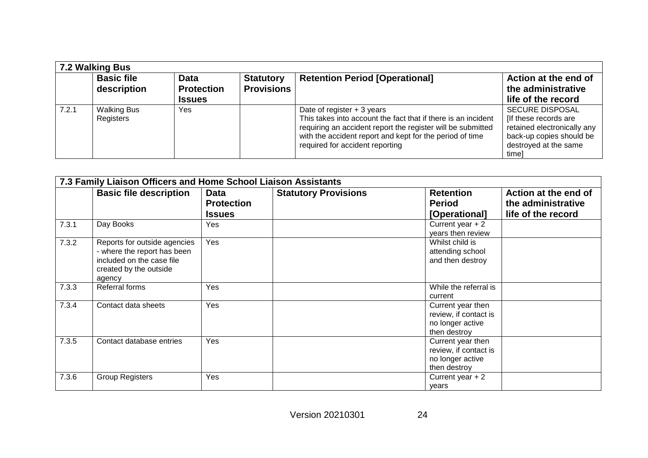|       | 7.2 Walking Bus                  |                                                   |                                       |                                                                                                                                                                                                                                                            |                                                                                                                                              |  |  |
|-------|----------------------------------|---------------------------------------------------|---------------------------------------|------------------------------------------------------------------------------------------------------------------------------------------------------------------------------------------------------------------------------------------------------------|----------------------------------------------------------------------------------------------------------------------------------------------|--|--|
|       | <b>Basic file</b><br>description | <b>Data</b><br><b>Protection</b><br><b>Issues</b> | <b>Statutory</b><br><b>Provisions</b> | <b>Retention Period [Operational]</b>                                                                                                                                                                                                                      | Action at the end of<br>the administrative<br>life of the record                                                                             |  |  |
| 7.2.1 | <b>Walking Bus</b><br>Registers  | Yes.                                              |                                       | Date of register $+3$ years<br>This takes into account the fact that if there is an incident<br>requiring an accident report the register will be submitted<br>with the accident report and kept for the period of time<br>required for accident reporting | <b>SECURE DISPOSAL</b><br>[If these records are<br>retained electronically any<br>back-up copies should be<br>destroyed at the same<br>timel |  |  |

| 7.3 Family Liaison Officers and Home School Liaison Assistants |                                                                                                                              |                                                   |                             |                                                                                |                                                                  |  |
|----------------------------------------------------------------|------------------------------------------------------------------------------------------------------------------------------|---------------------------------------------------|-----------------------------|--------------------------------------------------------------------------------|------------------------------------------------------------------|--|
|                                                                | <b>Basic file description</b>                                                                                                | <b>Data</b><br><b>Protection</b><br><b>Issues</b> | <b>Statutory Provisions</b> | <b>Retention</b><br><b>Period</b><br>[Operational]                             | Action at the end of<br>the administrative<br>life of the record |  |
| 7.3.1                                                          | Day Books                                                                                                                    | Yes                                               |                             | Current year $+2$<br>years then review                                         |                                                                  |  |
| 7.3.2                                                          | Reports for outside agencies<br>- where the report has been<br>included on the case file<br>created by the outside<br>agency | Yes                                               |                             | Whilst child is<br>attending school<br>and then destroy                        |                                                                  |  |
| 7.3.3                                                          | Referral forms                                                                                                               | Yes                                               |                             | While the referral is<br>current                                               |                                                                  |  |
| 7.3.4                                                          | Contact data sheets                                                                                                          | Yes                                               |                             | Current year then<br>review, if contact is<br>no longer active<br>then destroy |                                                                  |  |
| 7.3.5                                                          | Contact database entries                                                                                                     | Yes                                               |                             | Current year then<br>review, if contact is<br>no longer active<br>then destroy |                                                                  |  |
| 7.3.6                                                          | <b>Group Registers</b>                                                                                                       | Yes                                               |                             | Current year $+2$<br>years                                                     |                                                                  |  |